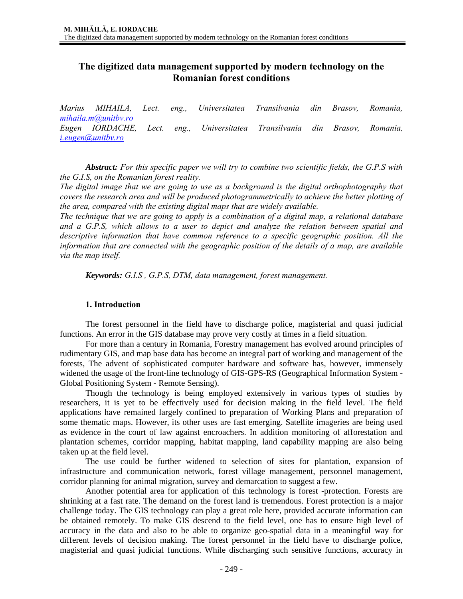# **The digitized data management supported by modern technology on the Romanian forest conditions**

*Marius MIHAILA, Lect. eng., Universitatea Transilvania din Brasov, Romania, mihaila.m@unitbv.ro Eugen IORDACHE, Lect. eng., Universitatea Transilvania din Brasov, Romania, i.eugen@unitbv.ro*

*Abstract: For this specific paper we will try to combine two scientific fields, the G.P.S with the G.I.S, on the Romanian forest reality.* 

*The digital image that we are going to use as a background is the digital orthophotography that covers the research area and will be produced photogrammetrically to achieve the better plotting of the area, compared with the existing digital maps that are widely available.* 

*The technique that we are going to apply is a combination of a digital map, a relational database and a G.P.S, which allows to a user to depict and analyze the relation between spatial and descriptive information that have common reference to a specific geographic position. All the information that are connected with the geographic position of the details of a map, are available via the map itself.* 

*Keywords: G.I.S , G.P.S, DTM, data management, forest management.* 

#### **1. Introduction**

The forest personnel in the field have to discharge police, magisterial and quasi judicial functions. An error in the GIS database may prove very costly at times in a field situation.

For more than a century in Romania, Forestry management has evolved around principles of rudimentary GIS, and map base data has become an integral part of working and management of the forests, The advent of sophisticated computer hardware and software has, however, immensely widened the usage of the front-line technology of GIS-GPS-RS (Geographical Information System - Global Positioning System - Remote Sensing).

Though the technology is being employed extensively in various types of studies by researchers, it is yet to be effectively used for decision making in the field level. The field applications have remained largely confined to preparation of Working Plans and preparation of some thematic maps. However, its other uses are fast emerging. Satellite imageries are being used as evidence in the court of law against encroachers. In addition monitoring of afforestation and plantation schemes, corridor mapping, habitat mapping, land capability mapping are also being taken up at the field level.

The use could be further widened to selection of sites for plantation, expansion of infrastructure and communication network, forest village management, personnel management, corridor planning for animal migration, survey and demarcation to suggest a few.

Another potential area for application of this technology is forest -protection. Forests are shrinking at a fast rate. The demand on the forest land is tremendous. Forest protection is a major challenge today. The GIS technology can play a great role here, provided accurate information can be obtained remotely. To make GIS descend to the field level, one has to ensure high level of accuracy in the data and also to be able to organize geo-spatial data in a meaningful way for different levels of decision making. The forest personnel in the field have to discharge police, magisterial and quasi judicial functions. While discharging such sensitive functions, accuracy in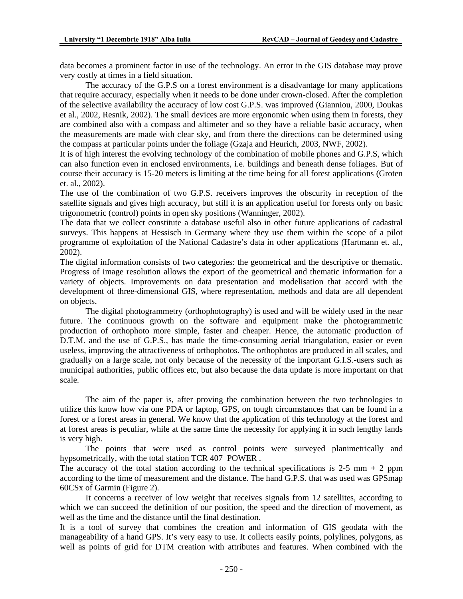data becomes a prominent factor in use of the technology. An error in the GIS database may prove very costly at times in a field situation.

The accuracy of the G.P.S on a forest environment is a disadvantage for many applications that require accuracy, especially when it needs to be done under crown-closed. After the completion of the selective availability the accuracy of low cost G.P.S. was improved (Gianniou, 2000, Doukas et al., 2002, Resnik, 2002). The small devices are more ergonomic when using them in forests, they are combined also with a compass and altimeter and so they have a reliable basic accuracy, when the measurements are made with clear sky, and from there the directions can be determined using the compass at particular points under the foliage (Gzaja and Heurich, 2003, NWF, 2002).

It is of high interest the evolving technology of the combination of mobile phones and G.P.S, which can also function even in enclosed environments, i.e. buildings and beneath dense foliages. But of course their accuracy is 15-20 meters is limiting at the time being for all forest applications (Groten et. al., 2002).

The use of the combination of two G.P.S. receivers improves the obscurity in reception of the satellite signals and gives high accuracy, but still it is an application useful for forests only on basic trigonometric (control) points in open sky positions (Wanninger, 2002).

The data that we collect constitute a database useful also in other future applications of cadastral surveys. This happens at Hessisch in Germany where they use them within the scope of a pilot programme of exploitation of the National Cadastre's data in other applications (Hartmann et. al., 2002).

The digital information consists of two categories: the geometrical and the descriptive or thematic. Progress of image resolution allows the export of the geometrical and thematic information for a variety of objects. Improvements on data presentation and modelisation that accord with the development of three-dimensional GIS, where representation, methods and data are all dependent on objects.

The digital photogrammetry (orthophotography) is used and will be widely used in the near future. The continuous growth on the software and equipment make the photogrammetric production of orthophoto more simple, faster and cheaper. Hence, the automatic production of D.T.M. and the use of G.P.S., has made the time-consuming aerial triangulation, easier or even useless, improving the attractiveness of orthophotos. The orthophotos are produced in all scales, and gradually on a large scale, not only because of the necessity of the important G.I.S.-users such as municipal authorities, public offices etc, but also because the data update is more important on that scale.

The aim of the paper is, after proving the combination between the two technologies to utilize this know how via one PDA or laptop, GPS, on tough circumstances that can be found in a forest or a forest areas in general. We know that the application of this technology at the forest and at forest areas is peculiar, while at the same time the necessity for applying it in such lengthy lands is very high.

The points that were used as control points were surveyed planimetrically and hypsometrically, with the total station TCR 407 POWER .

The accuracy of the total station according to the technical specifications is 2-5 mm  $+$  2 ppm according to the time of measurement and the distance. The hand G.P.S. that was used was GPSmap 60CSx of Garmin (Figure 2).

It concerns a receiver of low weight that receives signals from 12 satellites, according to which we can succeed the definition of our position, the speed and the direction of movement, as well as the time and the distance until the final destination.

It is a tool of survey that combines the creation and information of GIS geodata with the manageability of a hand GPS. It's very easy to use. It collects easily points, polylines, polygons, as well as points of grid for DTM creation with attributes and features. When combined with the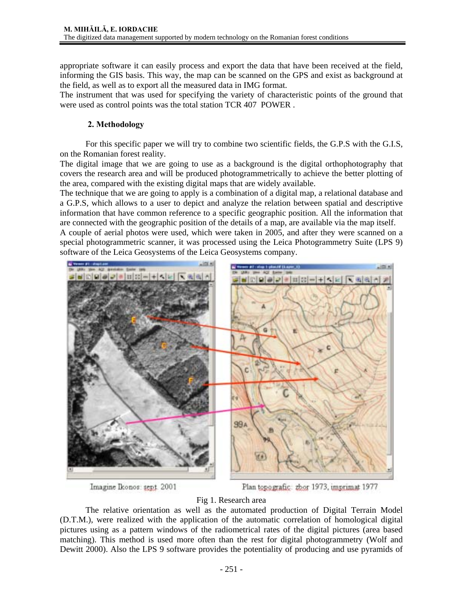appropriate software it can easily process and export the data that have been received at the field, informing the GIS basis. This way, the map can be scanned on the GPS and exist as background at the field, as well as to export all the measured data in IMG format.

The instrument that was used for specifying the variety of characteristic points of the ground that were used as control points was the total station TCR 407 POWER .

## **2. Methodology**

For this specific paper we will try to combine two scientific fields, the G.P.S with the G.I.S, on the Romanian forest reality.

The digital image that we are going to use as a background is the digital orthophotography that covers the research area and will be produced photogrammetrically to achieve the better plotting of the area, compared with the existing digital maps that are widely available.

The technique that we are going to apply is a combination of a digital map, a relational database and a G.P.S, which allows to a user to depict and analyze the relation between spatial and descriptive information that have common reference to a specific geographic position. All the information that are connected with the geographic position of the details of a map, are available via the map itself.

A couple of aerial photos were used, which were taken in 2005, and after they were scanned on a special photogrammetric scanner, it was processed using the Leica Photogrammetry Suite (LPS 9) software of the Leica Geosystems of the Leica Geosystems company.



Imagine Ikonos: sept. 2001

Plan topografic: zbor 1973, imprimat 1977

#### Fig 1. Research area

The relative orientation as well as the automated production of Digital Terrain Model (D.T.M.), were realized with the application of the automatic correlation of homological digital pictures using as a pattern windows of the radiometrical rates of the digital pictures (area based matching). This method is used more often than the rest for digital photogrammetry (Wolf and Dewitt 2000). Also the LPS 9 software provides the potentiality of producing and use pyramids of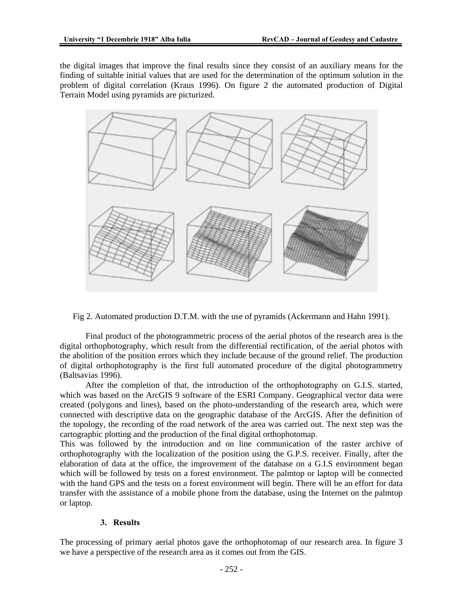the digital images that improve the final results since they consist of an auxiliary means for the finding of suitable initial values that are used for the determination of the optimum solution in the problem of digital correlation (Kraus 1996). On figure 2 the automated production of Digital Terrain Model using pyramids are picturized.



Fig 2. Automated production D.T.M. with the use of pyramids (Ackermann and Hahn 1991).

Final product of the photogrammetric process of the aerial photos of the research area is the digital orthophotography, which result from the differential rectification, of the aerial photos with the abolition of the position errors which they include because of the ground relief. The production of digital orthophotography is the first full automated procedure of the digital photogrammetry (Baltsavias 1996).

After the completion of that, the introduction of the orthophotography on G.I.S. started, which was based on the ArcGIS 9 software of the ESRI Company. Geographical vector data were created (polygons and lines), based on the photo-understanding of the research area, which were connected with descriptive data on the geographic database of the ArcGIS. After the definition of the topology, the recording of the road network of the area was carried out. The next step was the cartographic plotting and the production of the final digital orthophotomap.

This was followed by the introduction and on line communication of the raster archive of orthophotography with the localization of the position using the G.P.S. receiver. Finally, after the elaboration of data at the office, the improvement of the database on a G.I.S environment began which will be followed by tests on a forest environment. The palmtop or laptop will be connected with the hand GPS and the tests on a forest environment will begin. There will be an effort for data transfer with the assistance of a mobile phone from the database, using the Internet on the palmtop or laptop.

## **3. Results**

The processing of primary aerial photos gave the orthophotomap of our research area. In figure 3 we have a perspective of the research area as it comes out from the GIS.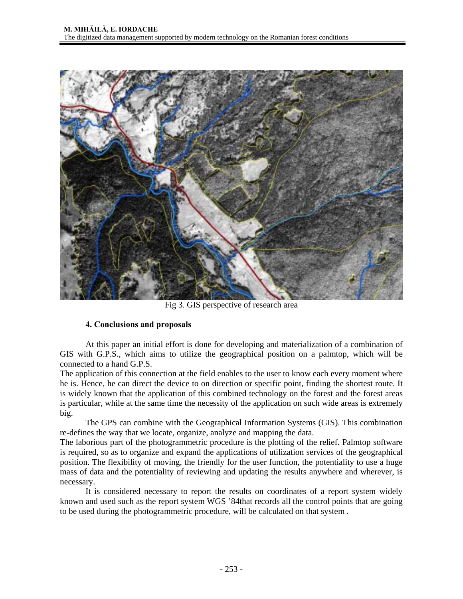

Fig 3. GIS perspective of research area

## **4. Conclusions and proposals**

At this paper an initial effort is done for developing and materialization of a combination of GIS with G.P.S., which aims to utilize the geographical position on a palmtop, which will be connected to a hand G.P.S.

The application of this connection at the field enables to the user to know each every moment where he is. Hence, he can direct the device to on direction or specific point, finding the shortest route. It is widely known that the application of this combined technology on the forest and the forest areas is particular, while at the same time the necessity of the application on such wide areas is extremely big.

The GPS can combine with the Geographical Information Systems (GIS). This combination re-defines the way that we locate, organize, analyze and mapping the data.

The laborious part of the photogrammetric procedure is the plotting of the relief. Palmtop software is required, so as to organize and expand the applications of utilization services of the geographical position. The flexibility of moving, the friendly for the user function, the potentiality to use a huge mass of data and the potentiality of reviewing and updating the results anywhere and wherever, is necessary.

It is considered necessary to report the results on coordinates of a report system widely known and used such as the report system WGS '84that records all the control points that are going to be used during the photogrammetric procedure, will be calculated on that system .